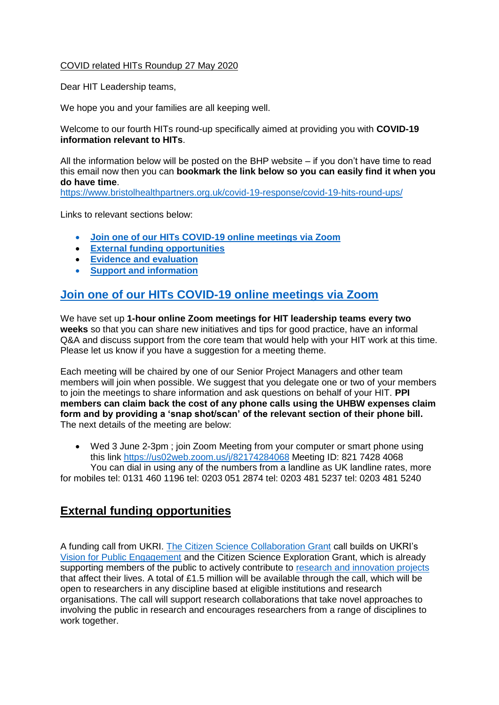#### COVID related HITs Roundup 27 May 2020

Dear HIT Leadership teams,

We hope you and your families are all keeping well.

Welcome to our fourth HITs round-up specifically aimed at providing you with **COVID-19 information relevant to HITs**.

All the information below will be posted on the BHP website – if you don't have time to read this email now then you can **bookmark the link below so you can easily find it when you do have time**.

<https://www.bristolhealthpartners.org.uk/covid-19-response/covid-19-hits-round-ups/>

Links to relevant sections below:

- **[Join one of our HITs COVID-19 online meetings via Zoom](#page-0-0)**
- **[External funding opportunities](#page-0-1)**
- **[Evidence and evaluation](#page-1-0)**
- **[Support and information](#page-1-1)**

#### <span id="page-0-0"></span>**[Join one of our HITs COVID-19 online meetings via Zoom](#page-0-0)**

We have set up **1-hour online Zoom meetings for HIT leadership teams every two weeks** so that you can share new initiatives and tips for good practice, have an informal Q&A and discuss support from the core team that would help with your HIT work at this time. Please let us know if you have a suggestion for a meeting theme.

Each meeting will be chaired by one of our Senior Project Managers and other team members will join when possible. We suggest that you delegate one or two of your members to join the meetings to share information and ask questions on behalf of your HIT. **PPI members can claim back the cost of any phone calls using the UHBW expenses claim form and by providing a 'snap shot/scan' of the relevant section of their phone bill.** The next details of the meeting are below:

 Wed 3 June 2-3pm ; join Zoom Meeting from your computer or smart phone using this link<https://us02web.zoom.us/j/82174284068> Meeting ID: 821 7428 4068 You can dial in using any of the numbers from a landline as UK landline rates, more

for mobiles tel: 0131 460 1196 tel: 0203 051 2874 tel: 0203 481 5237 tel: 0203 481 5240

# <span id="page-0-1"></span>**External funding opportunities**

A funding call from UKRI. [The Citizen Science Collaboration Grant](https://www.ukri.org/funding/funding-opportunities/involving-citizens-in-research-to-address-societal-challenges/) call builds on UKRI's [Vision for Public Engagement](https://www.ukri.org/public-engagement/) and the Citizen Science Exploration Grant, which is already supporting members of the public to actively contribute to [research and innovation projects](https://www.ukri.org/news/public-to-help-shape-exciting-new-range-of-research-on-the-issues-that-impact-their-lives/) that affect their lives. A total of £1.5 million will be available through the call, which will be open to researchers in any discipline based at eligible institutions and research organisations. The call will support research collaborations that take novel approaches to involving the public in research and encourages researchers from a range of disciplines to work together.